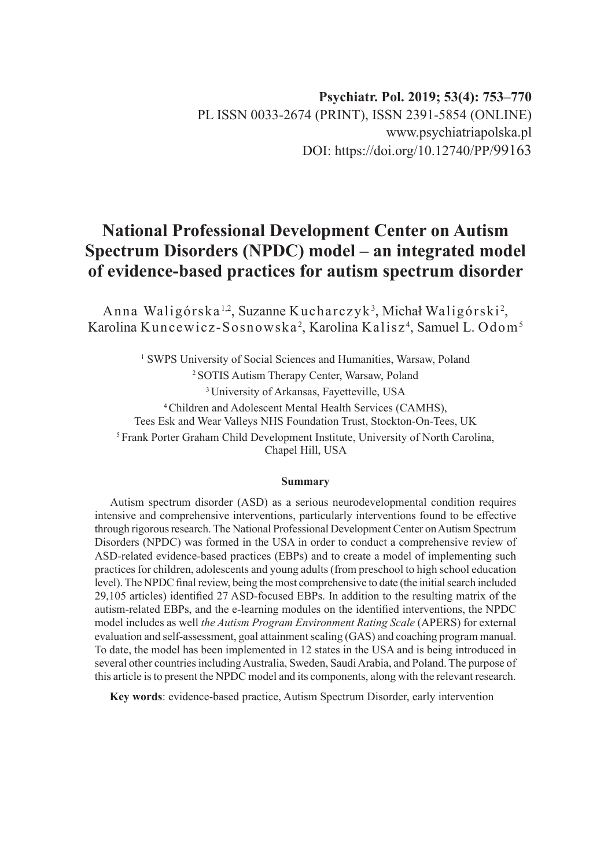# **National Professional Development Center on Autism Spectrum Disorders (NPDC) model – an integrated model of evidence-based practices for autism spectrum disorder**

Anna Waligórska<sup>1,2</sup>, Suzanne Kucharczyk<sup>3</sup>, Michał Waligórski<sup>2</sup>, Karolina Kuncewicz-Sosnowska<sup>2</sup>, Karolina Kalisz<sup>4</sup>, Samuel L. Odom<sup>5</sup>

<sup>1</sup> SWPS University of Social Sciences and Humanities, Warsaw, Poland 2 SOTIS Autism Therapy Center, Warsaw, Poland <sup>3</sup> University of Arkansas, Fayetteville, USA 4 Children and Adolescent Mental Health Services (CAMHS), Tees Esk and Wear Valleys NHS Foundation Trust, Stockton-On-Tees, UK <sup>5</sup> Frank Porter Graham Child Development Institute, University of North Carolina, Chapel Hill, USA

#### **Summary**

Autism spectrum disorder (ASD) as a serious neurodevelopmental condition requires intensive and comprehensive interventions, particularly interventions found to be effective through rigorous research. The National Professional Development Center on Autism Spectrum Disorders (NPDC) was formed in the USA in order to conduct a comprehensive review of ASD-related evidence-based practices (EBPs) and to create a model of implementing such practices for children, adolescents and young adults (from preschool to high school education level). The NPDC final review, being the most comprehensive to date (the initial search included 29,105 articles) identified 27 ASD-focused EBPs. In addition to the resulting matrix of the autism-related EBPs, and the e-learning modules on the identified interventions, the NPDC model includes as well *the Autism Program Environment Rating Scale* (APERS) for external evaluation and self-assessment, goal attainment scaling (GAS) and coaching program manual. To date, the model has been implemented in 12 states in the USA and is being introduced in several other countries including Australia, Sweden, Saudi Arabia, and Poland. The purpose of this article is to present the NPDC model and its components, along with the relevant research.

**Key words**: evidence-based practice, Autism Spectrum Disorder, early intervention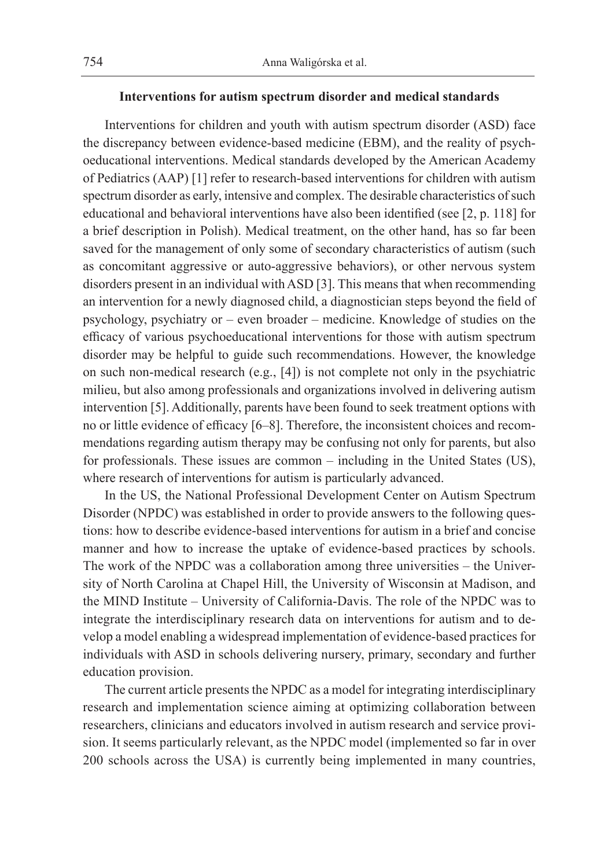#### **Interventions for autism spectrum disorder and medical standards**

Interventions for children and youth with autism spectrum disorder (ASD) face the discrepancy between evidence-based medicine (EBM), and the reality of psychoeducational interventions. Medical standards developed by the American Academy of Pediatrics (AAP) [1] refer to research-based interventions for children with autism spectrum disorder as early, intensive and complex. The desirable characteristics of such educational and behavioral interventions have also been identified (see [2, p. 118] for a brief description in Polish). Medical treatment, on the other hand, has so far been saved for the management of only some of secondary characteristics of autism (such as concomitant aggressive or auto-aggressive behaviors), or other nervous system disorders present in an individual with ASD [3]. This means that when recommending an intervention for a newly diagnosed child, a diagnostician steps beyond the field of psychology, psychiatry or – even broader – medicine. Knowledge of studies on the efficacy of various psychoeducational interventions for those with autism spectrum disorder may be helpful to guide such recommendations. However, the knowledge on such non-medical research (e.g., [4]) is not complete not only in the psychiatric milieu, but also among professionals and organizations involved in delivering autism intervention [5]. Additionally, parents have been found to seek treatment options with no or little evidence of efficacy [6–8]. Therefore, the inconsistent choices and recommendations regarding autism therapy may be confusing not only for parents, but also for professionals. These issues are common – including in the United States (US), where research of interventions for autism is particularly advanced.

In the US, the National Professional Development Center on Autism Spectrum Disorder (NPDC) was established in order to provide answers to the following questions: how to describe evidence-based interventions for autism in a brief and concise manner and how to increase the uptake of evidence-based practices by schools. The work of the NPDC was a collaboration among three universities – the University of North Carolina at Chapel Hill, the University of Wisconsin at Madison, and the MIND Institute – University of California-Davis. The role of the NPDC was to integrate the interdisciplinary research data on interventions for autism and to develop a model enabling a widespread implementation of evidence-based practices for individuals with ASD in schools delivering nursery, primary, secondary and further education provision.

The current article presents the NPDC as a model for integrating interdisciplinary research and implementation science aiming at optimizing collaboration between researchers, clinicians and educators involved in autism research and service provision. It seems particularly relevant, as the NPDC model (implemented so far in over 200 schools across the USA) is currently being implemented in many countries,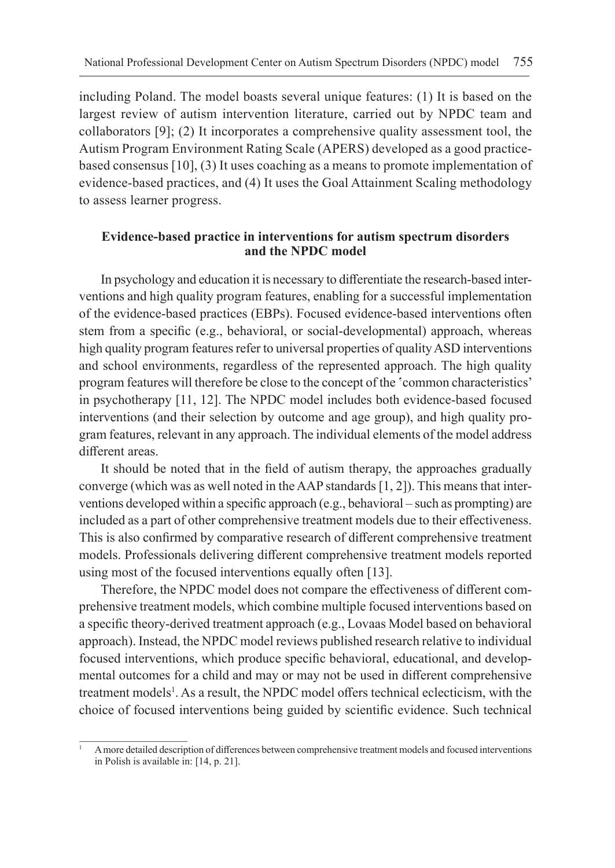including Poland. The model boasts several unique features: (1) It is based on the largest review of autism intervention literature, carried out by NPDC team and collaborators [9]; (2) It incorporates a comprehensive quality assessment tool, the Autism Program Environment Rating Scale (APERS) developed as a good practicebased consensus [10], (3) It uses coaching as a means to promote implementation of evidence-based practices, and (4) It uses the Goal Attainment Scaling methodology to assess learner progress.

### **Evidence-based practice in interventions for autism spectrum disorders and the NPDC model**

In psychology and education it is necessary to differentiate the research-based interventions and high quality program features, enabling for a successful implementation of the evidence-based practices (EBPs). Focused evidence-based interventions often stem from a specific (e.g., behavioral, or social-developmental) approach, whereas high quality program features refer to universal properties of quality ASD interventions and school environments, regardless of the represented approach. The high quality program features will therefore be close to the concept of the 'common characteristics' in psychotherapy [11, 12]. The NPDC model includes both evidence-based focused interventions (and their selection by outcome and age group), and high quality program features, relevant in any approach. The individual elements of the model address different areas.

It should be noted that in the field of autism therapy, the approaches gradually converge (which was as well noted in the AAP standards [1, 2]). This means that interventions developed within a specific approach (e.g., behavioral – such as prompting) are included as a part of other comprehensive treatment models due to their effectiveness. This is also confirmed by comparative research of different comprehensive treatment models. Professionals delivering different comprehensive treatment models reported using most of the focused interventions equally often [13].

Therefore, the NPDC model does not compare the effectiveness of different comprehensive treatment models, which combine multiple focused interventions based on a specific theory-derived treatment approach (e.g., Lovaas Model based on behavioral approach). Instead, the NPDC model reviews published research relative to individual focused interventions, which produce specific behavioral, educational, and developmental outcomes for a child and may or may not be used in different comprehensive treatment models<sup>1</sup>. As a result, the NPDC model offers technical eclecticism, with the choice of focused interventions being guided by scientific evidence. Such technical

<sup>1</sup> A more detailed description of differences between comprehensive treatment models and focused interventions in Polish is available in: [14, p. 21].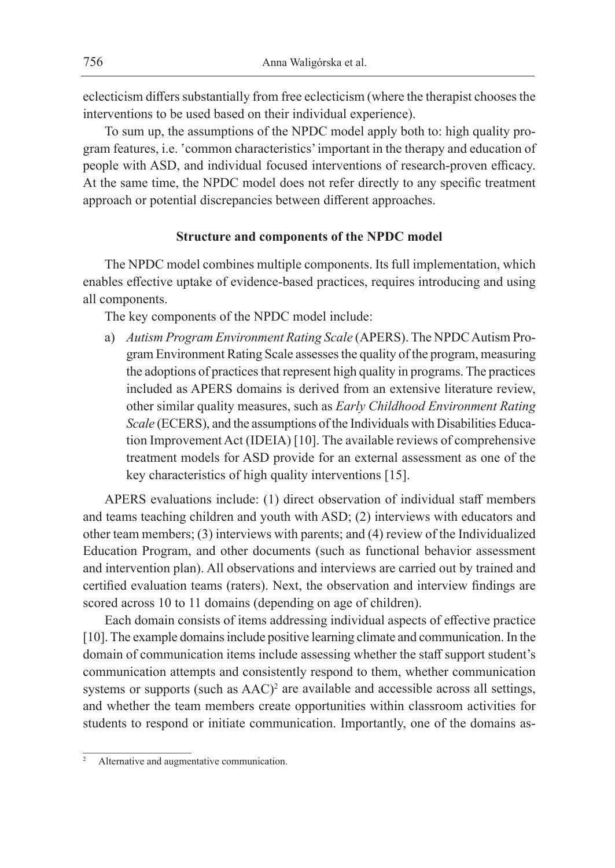eclecticism differs substantially from free eclecticism (where the therapist chooses the interventions to be used based on their individual experience).

To sum up, the assumptions of the NPDC model apply both to: high quality program features, i.e. 'common characteristics' important in the therapy and education of people with ASD, and individual focused interventions of research-proven efficacy. At the same time, the NPDC model does not refer directly to any specific treatment approach or potential discrepancies between different approaches.

#### **Structure and components of the NPDC model**

The NPDC model combines multiple components. Its full implementation, which enables effective uptake of evidence-based practices, requires introducing and using all components.

The key components of the NPDC model include:

a) *Autism Program Environment Rating Scale* (APERS). The NPDC Autism Program Environment Rating Scale assesses the quality of the program, measuring the adoptions of practices that represent high quality in programs. The practices included as APERS domains is derived from an extensive literature review, other similar quality measures, such as *Early Childhood Environment Rating Scale* (ECERS), and the assumptions of the Individuals with Disabilities Education Improvement Act (IDEIA) [10]. The available reviews of comprehensive treatment models for ASD provide for an external assessment as one of the key characteristics of high quality interventions [15].

APERS evaluations include: (1) direct observation of individual staff members and teams teaching children and youth with ASD; (2) interviews with educators and other team members; (3) interviews with parents; and (4) review of the Individualized Education Program, and other documents (such as functional behavior assessment and intervention plan). All observations and interviews are carried out by trained and certified evaluation teams (raters). Next, the observation and interview findings are scored across 10 to 11 domains (depending on age of children).

Each domain consists of items addressing individual aspects of effective practice [10]. The example domains include positive learning climate and communication. In the domain of communication items include assessing whether the staff support student's communication attempts and consistently respond to them, whether communication systems or supports (such as AAC)<sup>2</sup> are available and accessible across all settings, and whether the team members create opportunities within classroom activities for students to respond or initiate communication. Importantly, one of the domains as-

Alternative and augmentative communication.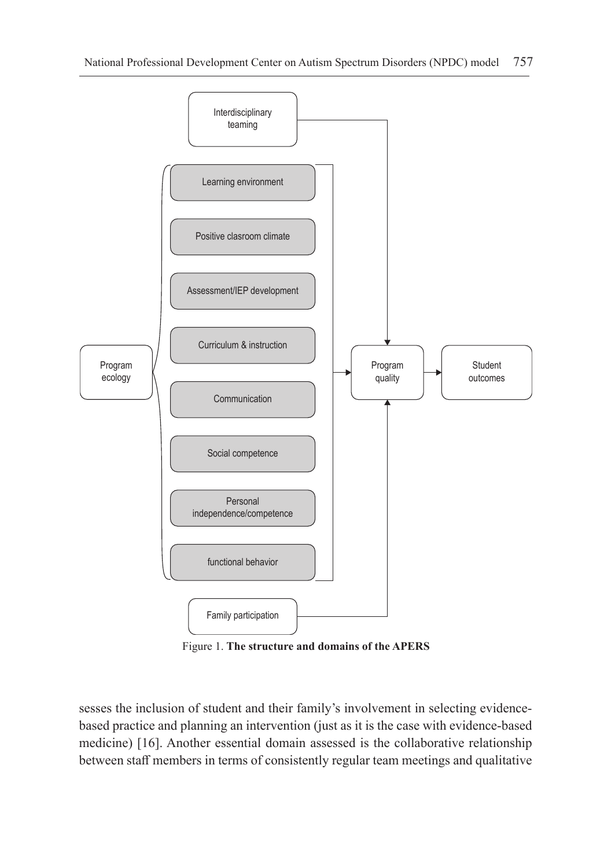

Figure 1. **The structure and domains of the APERS**

sesses the inclusion of student and their family's involvement in selecting evidencebased practice and planning an intervention (just as it is the case with evidence-based medicine) [16]. Another essential domain assessed is the collaborative relationship between staff members in terms of consistently regular team meetings and qualitative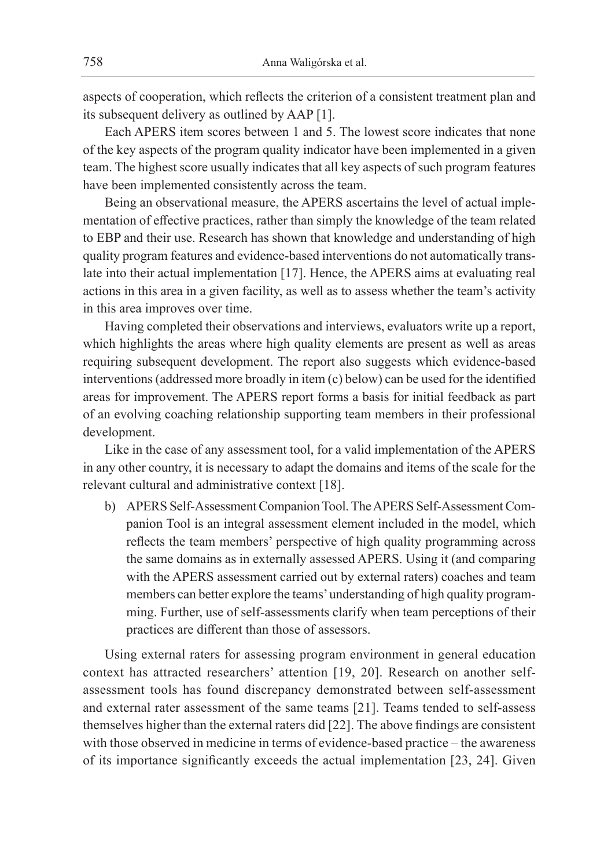aspects of cooperation, which reflects the criterion of a consistent treatment plan and its subsequent delivery as outlined by AAP [1].

Each APERS item scores between 1 and 5. The lowest score indicates that none of the key aspects of the program quality indicator have been implemented in a given team. The highest score usually indicates that all key aspects of such program features have been implemented consistently across the team.

Being an observational measure, the APERS ascertains the level of actual implementation of effective practices, rather than simply the knowledge of the team related to EBP and their use. Research has shown that knowledge and understanding of high quality program features and evidence-based interventions do not automatically translate into their actual implementation [17]. Hence, the APERS aims at evaluating real actions in this area in a given facility, as well as to assess whether the team's activity in this area improves over time.

Having completed their observations and interviews, evaluators write up a report, which highlights the areas where high quality elements are present as well as areas requiring subsequent development. The report also suggests which evidence-based interventions (addressed more broadly in item (c) below) can be used for the identified areas for improvement. The APERS report forms a basis for initial feedback as part of an evolving coaching relationship supporting team members in their professional development.

Like in the case of any assessment tool, for a valid implementation of the APERS in any other country, it is necessary to adapt the domains and items of the scale for the relevant cultural and administrative context [18].

b) APERS Self-Assessment Companion Tool. The APERS Self-Assessment Companion Tool is an integral assessment element included in the model, which reflects the team members' perspective of high quality programming across the same domains as in externally assessed APERS. Using it (and comparing with the APERS assessment carried out by external raters) coaches and team members can better explore the teams' understanding of high quality programming. Further, use of self-assessments clarify when team perceptions of their practices are different than those of assessors.

Using external raters for assessing program environment in general education context has attracted researchers' attention [19, 20]. Research on another selfassessment tools has found discrepancy demonstrated between self-assessment and external rater assessment of the same teams [21]. Teams tended to self-assess themselves higher than the external raters did [22]. The above findings are consistent with those observed in medicine in terms of evidence-based practice – the awareness of its importance significantly exceeds the actual implementation [23, 24]. Given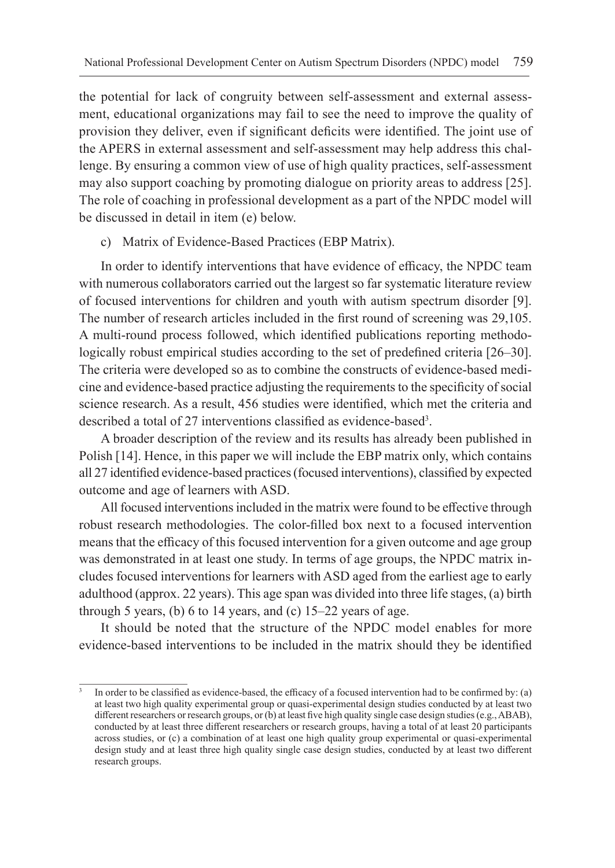the potential for lack of congruity between self-assessment and external assessment, educational organizations may fail to see the need to improve the quality of provision they deliver, even if significant deficits were identified. The joint use of the APERS in external assessment and self-assessment may help address this challenge. By ensuring a common view of use of high quality practices, self-assessment may also support coaching by promoting dialogue on priority areas to address [25]. The role of coaching in professional development as a part of the NPDC model will be discussed in detail in item (e) below.

c) Matrix of Evidence-Based Practices (EBP Matrix).

In order to identify interventions that have evidence of efficacy, the NPDC team with numerous collaborators carried out the largest so far systematic literature review of focused interventions for children and youth with autism spectrum disorder [9]. The number of research articles included in the first round of screening was 29,105. A multi-round process followed, which identified publications reporting methodologically robust empirical studies according to the set of predefined criteria [26–30]. The criteria were developed so as to combine the constructs of evidence-based medicine and evidence-based practice adjusting the requirements to the specificity of social science research. As a result, 456 studies were identified, which met the criteria and described a total of 27 interventions classified as evidence-based<sup>3</sup> .

A broader description of the review and its results has already been published in Polish [14]. Hence, in this paper we will include the EBP matrix only, which contains all 27 identified evidence-based practices (focused interventions), classified by expected outcome and age of learners with ASD.

All focused interventions included in the matrix were found to be effective through robust research methodologies. The color-filled box next to a focused intervention means that the efficacy of this focused intervention for a given outcome and age group was demonstrated in at least one study. In terms of age groups, the NPDC matrix includes focused interventions for learners with ASD aged from the earliest age to early adulthood (approx. 22 years). This age span was divided into three life stages, (a) birth through 5 years, (b) 6 to 14 years, and (c)  $15-22$  years of age.

It should be noted that the structure of the NPDC model enables for more evidence-based interventions to be included in the matrix should they be identified

In order to be classified as evidence-based, the efficacy of a focused intervention had to be confirmed by: (a) at least two high quality experimental group or quasi-experimental design studies conducted by at least two different researchers or research groups, or (b) at least five high quality single case design studies (e.g., ABAB), conducted by at least three different researchers or research groups, having a total of at least 20 participants across studies, or (c) a combination of at least one high quality group experimental or quasi-experimental design study and at least three high quality single case design studies, conducted by at least two different research groups.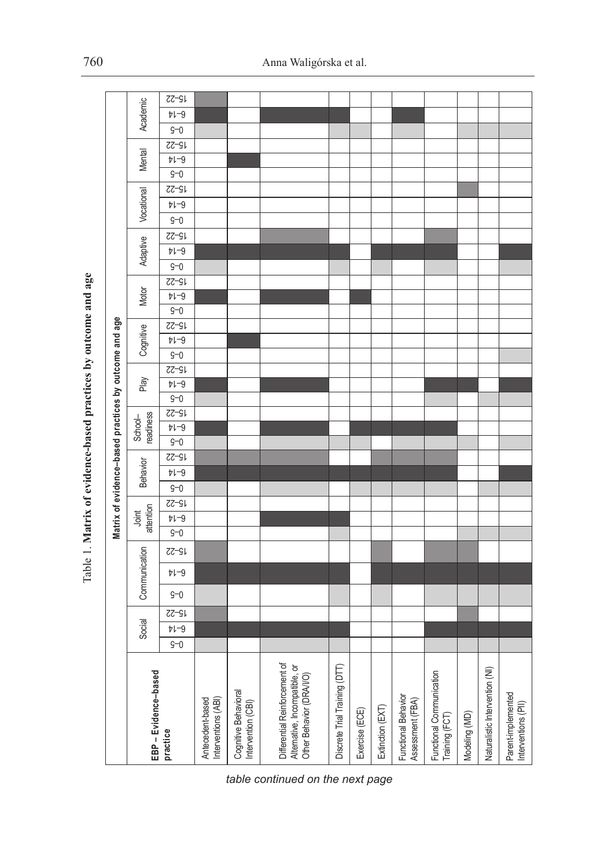| ó                                                    |
|------------------------------------------------------|
| j<br>į                                               |
| we autoama and age<br>l                              |
|                                                      |
| <b>Contraction of the contraction</b><br>ו<br>ו<br>í |
| こうこう へっこう<br>ו<br>ו<br>١                             |
|                                                      |
|                                                      |
| ï<br>.<br>E<br>Ï                                     |

|                                                       |                      | <b>75-22</b>        |                                         |                                            |                                                                                           |                               |                |                  |                                         |                                            |                                |                                           |
|-------------------------------------------------------|----------------------|---------------------|-----------------------------------------|--------------------------------------------|-------------------------------------------------------------------------------------------|-------------------------------|----------------|------------------|-----------------------------------------|--------------------------------------------|--------------------------------|-------------------------------------------|
|                                                       |                      | $b1-0$              |                                         |                                            |                                                                                           |                               |                |                  |                                         |                                            |                                |                                           |
|                                                       | Academic             | $9 - 0$             |                                         |                                            |                                                                                           |                               |                |                  |                                         |                                            |                                |                                           |
|                                                       |                      | <b>75-22</b>        |                                         |                                            |                                                                                           |                               |                |                  |                                         |                                            |                                |                                           |
|                                                       | Mental               | $b1-9$              |                                         |                                            |                                                                                           |                               |                |                  |                                         |                                            |                                |                                           |
|                                                       |                      | $9 - 0$             |                                         |                                            |                                                                                           |                               |                |                  |                                         |                                            |                                |                                           |
|                                                       |                      | $27 - 91$           |                                         |                                            |                                                                                           |                               |                |                  |                                         |                                            |                                |                                           |
|                                                       | Vocational           | $b1-0$              |                                         |                                            |                                                                                           |                               |                |                  |                                         |                                            |                                |                                           |
|                                                       |                      | $9 - 0$             |                                         |                                            |                                                                                           |                               |                |                  |                                         |                                            |                                |                                           |
| Matrix of evidence-based practices by outcome and age | Adaptive<br>Motor    | <b>75-22</b>        |                                         |                                            |                                                                                           |                               |                |                  |                                         |                                            |                                |                                           |
|                                                       |                      | $b1-9$              |                                         |                                            |                                                                                           |                               |                |                  |                                         |                                            |                                |                                           |
|                                                       |                      | $9 - 0$             |                                         |                                            |                                                                                           |                               |                |                  |                                         |                                            |                                |                                           |
|                                                       |                      | <b>75-22</b>        |                                         |                                            |                                                                                           |                               |                |                  |                                         |                                            |                                |                                           |
|                                                       |                      | $b1-9$              |                                         |                                            |                                                                                           |                               |                |                  |                                         |                                            |                                |                                           |
|                                                       |                      | $\overline{S}$ -0   |                                         |                                            |                                                                                           |                               |                |                  |                                         |                                            |                                |                                           |
|                                                       | Cognitive            | $72 - 51$           |                                         |                                            |                                                                                           |                               |                |                  |                                         |                                            |                                |                                           |
|                                                       |                      | $b1-9$              |                                         |                                            |                                                                                           |                               |                |                  |                                         |                                            |                                |                                           |
|                                                       |                      | $9 - 0$             |                                         |                                            |                                                                                           |                               |                |                  |                                         |                                            |                                |                                           |
|                                                       |                      | <b>75-22</b>        |                                         |                                            |                                                                                           |                               |                |                  |                                         |                                            |                                |                                           |
|                                                       | Play                 | $b1-0$              |                                         |                                            |                                                                                           |                               |                |                  |                                         |                                            |                                |                                           |
|                                                       |                      | $G-0$               |                                         |                                            |                                                                                           |                               |                |                  |                                         |                                            |                                |                                           |
|                                                       | readiness<br>School- | $27 - 91$<br>$b1-3$ |                                         |                                            |                                                                                           |                               |                |                  |                                         |                                            |                                |                                           |
|                                                       | <b>Behavior</b>      | $\overline{S=0}$    |                                         |                                            |                                                                                           |                               |                |                  |                                         |                                            |                                |                                           |
|                                                       |                      | $27 - 91$           |                                         |                                            |                                                                                           |                               |                |                  |                                         |                                            |                                |                                           |
|                                                       |                      | $b1-9$              |                                         |                                            |                                                                                           |                               |                |                  |                                         |                                            |                                |                                           |
|                                                       |                      | $g-0$               |                                         |                                            |                                                                                           |                               |                |                  |                                         |                                            |                                |                                           |
|                                                       | attention<br>Joint   | $\overline{55-51}$  |                                         |                                            |                                                                                           |                               |                |                  |                                         |                                            |                                |                                           |
|                                                       |                      | $b1-9$              |                                         |                                            |                                                                                           |                               |                |                  |                                         |                                            |                                |                                           |
|                                                       |                      | $\overline{S}$ -0   |                                         |                                            |                                                                                           |                               |                |                  |                                         |                                            |                                |                                           |
|                                                       | Communication        | <b>75-22</b>        |                                         |                                            |                                                                                           |                               |                |                  |                                         |                                            |                                |                                           |
|                                                       |                      | $b1-9$              |                                         |                                            |                                                                                           |                               |                |                  |                                         |                                            |                                |                                           |
|                                                       |                      | $g-0$               |                                         |                                            |                                                                                           |                               |                |                  |                                         |                                            |                                |                                           |
|                                                       | Social               | <b>75-22</b>        |                                         |                                            |                                                                                           |                               |                |                  |                                         |                                            |                                |                                           |
|                                                       |                      | $b1-0$              |                                         |                                            |                                                                                           |                               |                |                  |                                         |                                            |                                |                                           |
|                                                       |                      | $9 - 0$             |                                         |                                            |                                                                                           |                               |                |                  |                                         |                                            |                                |                                           |
|                                                       | EBP - Evidence-based |                     |                                         |                                            | Differential Reinforcement of<br>Alternative, Incompatible, or<br>Other Behavior (DRAI/O) | Discrete Trial Training (DTT) |                |                  |                                         | Functional Communication<br>Training (FCT) | Naturalistic Intervention (NI) | Parent-implemented<br>Interventions (PII) |
|                                                       |                      | practice            | Interventions (ABI)<br>Antecedent-based | Cognitive Behavioral<br>Intervention (CBI) |                                                                                           |                               | Exercise (ECE) | Extinction (EXT) | Functional Behavior<br>Assessment (FBA) |                                            | Modeling (MD)                  |                                           |

*table continued on the next page*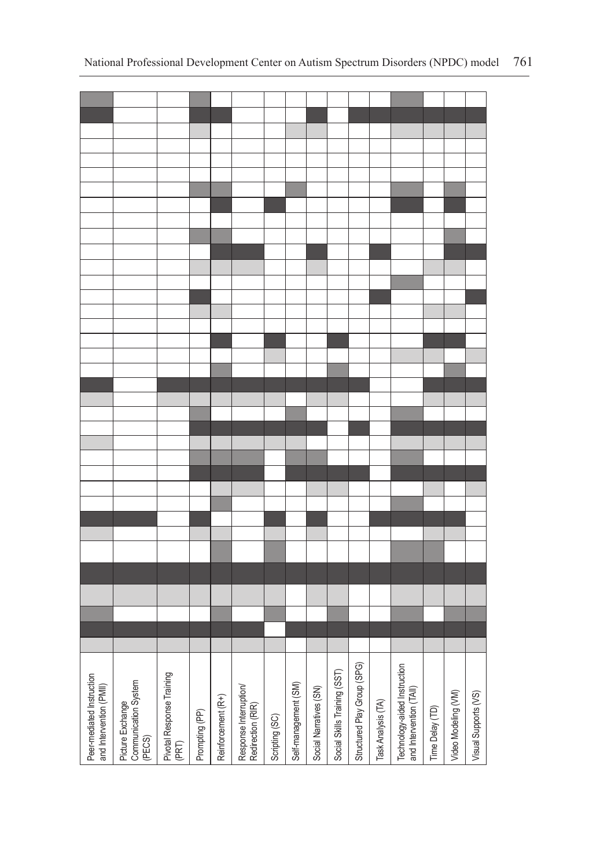| Peer-mediated Instruction<br>and Intervention (PMII) | Picture Exchange<br>Communication System<br>(PECS) | Pivotal Response Training<br>(PRT) | Prompting (PP) | Reinforcement (R+) | Response Interruption/<br>Redirection (RIR) | Scripting (SC) | Self-management (SM) | Social Narratives (SN) | Social Skills Training (SST) | Structured Play Group (SPG) | Task Analysis (TA) | Technology-aided Instruction<br>and Intervention (TAII) | Time Delay (TD) | Video Modeling (VM) | Visual Supports (VS) |
|------------------------------------------------------|----------------------------------------------------|------------------------------------|----------------|--------------------|---------------------------------------------|----------------|----------------------|------------------------|------------------------------|-----------------------------|--------------------|---------------------------------------------------------|-----------------|---------------------|----------------------|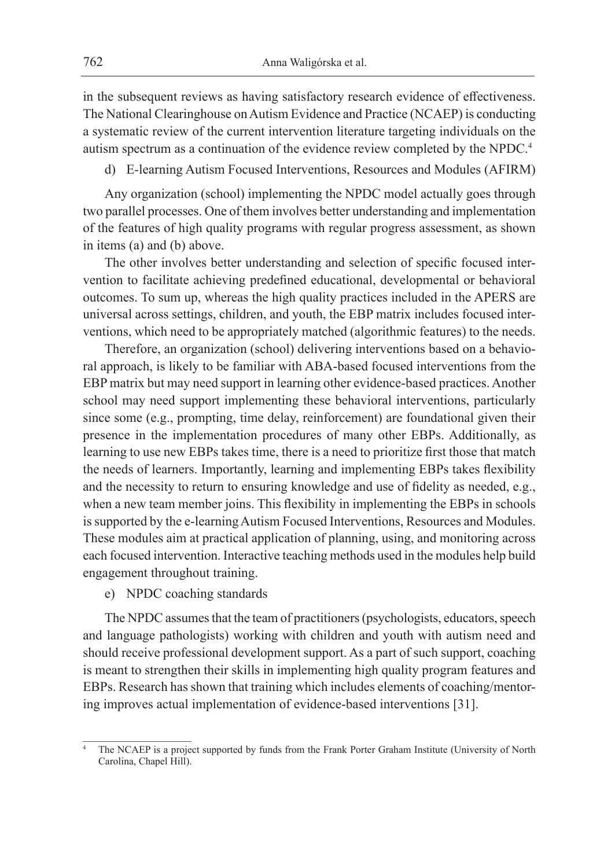in the subsequent reviews as having satisfactory research evidence of effectiveness. The National Clearinghouse on Autism Evidence and Practice (NCAEP) is conducting a systematic review of the current intervention literature targeting individuals on the autism spectrum as a continuation of the evidence review completed by the NPDC.4

d) E-learning Autism Focused Interventions, Resources and Modules (AFIRM)

Any organization (school) implementing the NPDC model actually goes through two parallel processes. One of them involves better understanding and implementation of the features of high quality programs with regular progress assessment, as shown in items (a) and (b) above.

The other involves better understanding and selection of specific focused intervention to facilitate achieving predefined educational, developmental or behavioral outcomes. To sum up, whereas the high quality practices included in the APERS are universal across settings, children, and youth, the EBP matrix includes focused interventions, which need to be appropriately matched (algorithmic features) to the needs.

Therefore, an organization (school) delivering interventions based on a behavioral approach, is likely to be familiar with ABA-based focused interventions from the EBP matrix but may need support in learning other evidence-based practices. Another school may need support implementing these behavioral interventions, particularly since some (e.g., prompting, time delay, reinforcement) are foundational given their presence in the implementation procedures of many other EBPs. Additionally, as learning to use new EBPs takes time, there is a need to prioritize first those that match the needs of learners. Importantly, learning and implementing EBPs takes flexibility and the necessity to return to ensuring knowledge and use of fidelity as needed, e.g., when a new team member joins. This flexibility in implementing the EBPs in schools is supported by the e-learning Autism Focused Interventions, Resources and Modules. These modules aim at practical application of planning, using, and monitoring across each focused intervention. Interactive teaching methods used in the modules help build engagement throughout training.

e) NPDC coaching standards

The NPDC assumes that the team of practitioners (psychologists, educators, speech and language pathologists) working with children and youth with autism need and should receive professional development support. As a part of such support, coaching is meant to strengthen their skills in implementing high quality program features and EBPs. Research has shown that training which includes elements of coaching/mentoring improves actual implementation of evidence-based interventions [31].

The NCAEP is a project supported by funds from the Frank Porter Graham Institute (University of North Carolina, Chapel Hill).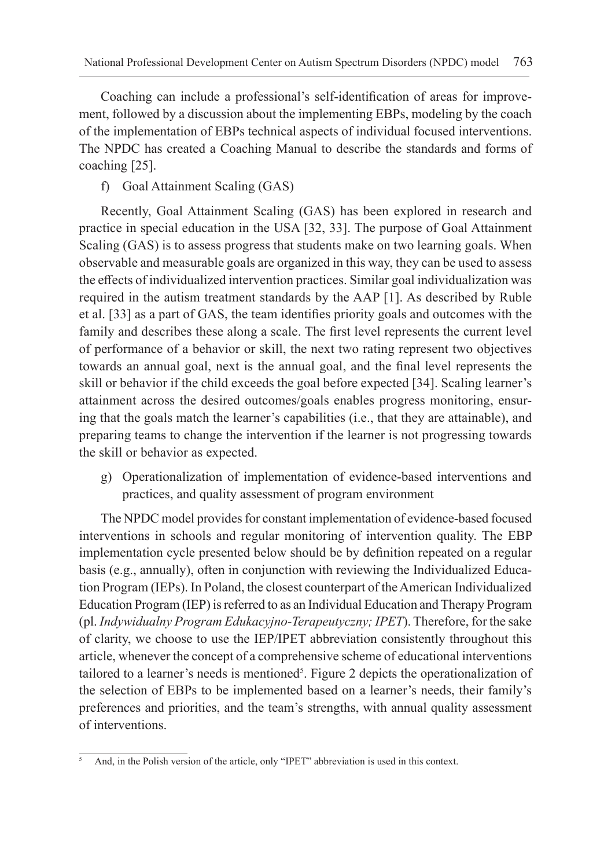Coaching can include a professional's self-identification of areas for improvement, followed by a discussion about the implementing EBPs, modeling by the coach of the implementation of EBPs technical aspects of individual focused interventions. The NPDC has created a Coaching Manual to describe the standards and forms of coaching [25].

f) Goal Attainment Scaling (GAS)

Recently, Goal Attainment Scaling (GAS) has been explored in research and practice in special education in the USA [32, 33]. The purpose of Goal Attainment Scaling (GAS) is to assess progress that students make on two learning goals. When observable and measurable goals are organized in this way, they can be used to assess the effects of individualized intervention practices. Similar goal individualization was required in the autism treatment standards by the AAP [1]. As described by Ruble et al. [33] as a part of GAS, the team identifies priority goals and outcomes with the family and describes these along a scale. The first level represents the current level of performance of a behavior or skill, the next two rating represent two objectives towards an annual goal, next is the annual goal, and the final level represents the skill or behavior if the child exceeds the goal before expected [34]. Scaling learner's attainment across the desired outcomes/goals enables progress monitoring, ensuring that the goals match the learner's capabilities (i.e., that they are attainable), and preparing teams to change the intervention if the learner is not progressing towards the skill or behavior as expected.

g) Operationalization of implementation of evidence-based interventions and practices, and quality assessment of program environment

The NPDC model provides for constant implementation of evidence-based focused interventions in schools and regular monitoring of intervention quality. The EBP implementation cycle presented below should be by definition repeated on a regular basis (e.g., annually), often in conjunction with reviewing the Individualized Education Program (IEPs). In Poland, the closest counterpart of the American Individualized Education Program (IEP) is referred to as an Individual Education and Therapy Program (pl. *Indywidualny Program Edukacyjno-Terapeutyczny; IPET*). Therefore, for the sake of clarity, we choose to use the IEP/IPET abbreviation consistently throughout this article, whenever the concept of a comprehensive scheme of educational interventions tailored to a learner's needs is mentioned<sup>5</sup>. Figure 2 depicts the operationalization of the selection of EBPs to be implemented based on a learner's needs, their family's preferences and priorities, and the team's strengths, with annual quality assessment of interventions.

<sup>5</sup> And, in the Polish version of the article, only "IPET" abbreviation is used in this context.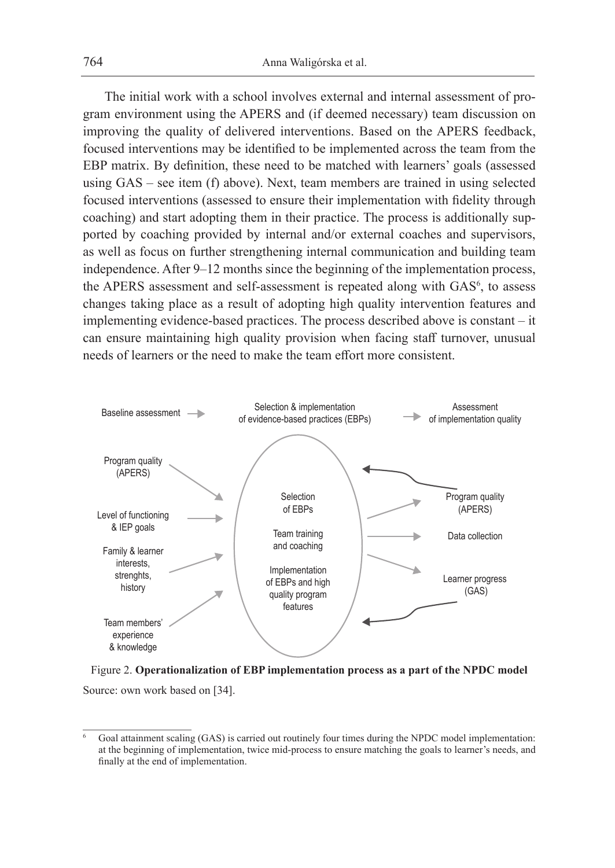The initial work with a school involves external and internal assessment of program environment using the APERS and (if deemed necessary) team discussion on improving the quality of delivered interventions. Based on the APERS feedback, focused interventions may be identified to be implemented across the team from the EBP matrix. By definition, these need to be matched with learners' goals (assessed using GAS – see item (f) above). Next, team members are trained in using selected focused interventions (assessed to ensure their implementation with fidelity through coaching) and start adopting them in their practice. The process is additionally supported by coaching provided by internal and/or external coaches and supervisors, as well as focus on further strengthening internal communication and building team independence. After 9–12 months since the beginning of the implementation process, the APERS assessment and self-assessment is repeated along with GAS<sup>6</sup>, to assess changes taking place as a result of adopting high quality intervention features and implementing evidence-based practices. The process described above is constant – it can ensure maintaining high quality provision when facing staff turnover, unusual needs of learners or the need to make the team effort more consistent.





<sup>6</sup> Goal attainment scaling (GAS) is carried out routinely four times during the NPDC model implementation: at the beginning of implementation, twice mid-process to ensure matching the goals to learner's needs, and finally at the end of implementation.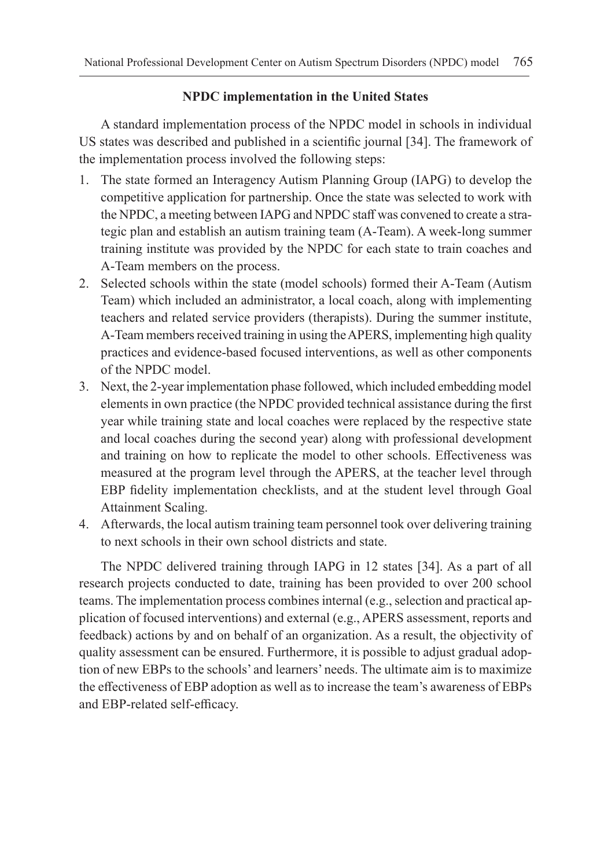## **NPDC implementation in the United States**

A standard implementation process of the NPDC model in schools in individual US states was described and published in a scientific journal [34]. The framework of the implementation process involved the following steps:

- 1. The state formed an Interagency Autism Planning Group (IAPG) to develop the competitive application for partnership. Once the state was selected to work with the NPDC, a meeting between IAPG and NPDC staff was convened to create a strategic plan and establish an autism training team (A-Team). A week-long summer training institute was provided by the NPDC for each state to train coaches and A-Team members on the process.
- 2. Selected schools within the state (model schools) formed their A-Team (Autism Team) which included an administrator, a local coach, along with implementing teachers and related service providers (therapists). During the summer institute, A-Team members received training in using the APERS, implementing high quality practices and evidence-based focused interventions, as well as other components of the NPDC model.
- 3. Next, the 2-year implementation phase followed, which included embedding model elements in own practice (the NPDC provided technical assistance during the first year while training state and local coaches were replaced by the respective state and local coaches during the second year) along with professional development and training on how to replicate the model to other schools. Effectiveness was measured at the program level through the APERS, at the teacher level through EBP fidelity implementation checklists, and at the student level through Goal Attainment Scaling.
- 4. Afterwards, the local autism training team personnel took over delivering training to next schools in their own school districts and state.

The NPDC delivered training through IAPG in 12 states [34]. As a part of all research projects conducted to date, training has been provided to over 200 school teams. The implementation process combines internal (e.g., selection and practical application of focused interventions) and external (e.g., APERS assessment, reports and feedback) actions by and on behalf of an organization. As a result, the objectivity of quality assessment can be ensured. Furthermore, it is possible to adjust gradual adoption of new EBPs to the schools' and learners' needs. The ultimate aim is to maximize the effectiveness of EBP adoption as well as to increase the team's awareness of EBPs and EBP-related self-efficacy.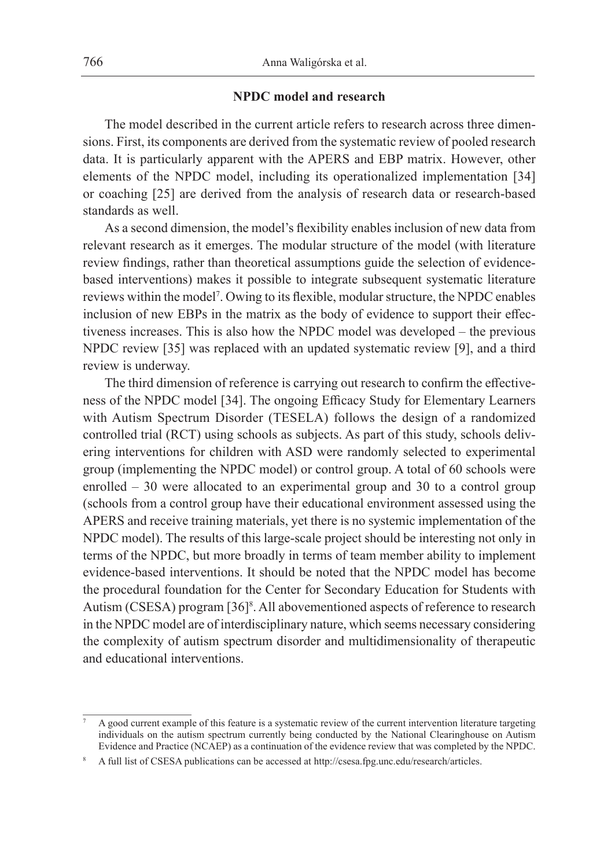#### **NPDC model and research**

The model described in the current article refers to research across three dimensions. First, its components are derived from the systematic review of pooled research data. It is particularly apparent with the APERS and EBP matrix. However, other elements of the NPDC model, including its operationalized implementation [34] or coaching [25] are derived from the analysis of research data or research-based standards as well.

As a second dimension, the model's flexibility enables inclusion of new data from relevant research as it emerges. The modular structure of the model (with literature review findings, rather than theoretical assumptions guide the selection of evidencebased interventions) makes it possible to integrate subsequent systematic literature reviews within the model7 . Owing to its flexible, modular structure, the NPDC enables inclusion of new EBPs in the matrix as the body of evidence to support their effectiveness increases. This is also how the NPDC model was developed – the previous NPDC review [35] was replaced with an updated systematic review [9], and a third review is underway.

The third dimension of reference is carrying out research to confirm the effectiveness of the NPDC model [34]. The ongoing Efficacy Study for Elementary Learners with Autism Spectrum Disorder (TESELA) follows the design of a randomized controlled trial (RCT) using schools as subjects. As part of this study, schools delivering interventions for children with ASD were randomly selected to experimental group (implementing the NPDC model) or control group. A total of 60 schools were enrolled – 30 were allocated to an experimental group and 30 to a control group (schools from a control group have their educational environment assessed using the APERS and receive training materials, yet there is no systemic implementation of the NPDC model). The results of this large-scale project should be interesting not only in terms of the NPDC, but more broadly in terms of team member ability to implement evidence-based interventions. It should be noted that the NPDC model has become the procedural foundation for the Center for Secondary Education for Students with Autism (CSESA) program [36]<sup>8</sup>. All abovementioned aspects of reference to research in the NPDC model are of interdisciplinary nature, which seems necessary considering the complexity of autism spectrum disorder and multidimensionality of therapeutic and educational interventions.

<sup>7</sup> A good current example of this feature is a systematic review of the current intervention literature targeting individuals on the autism spectrum currently being conducted by the National Clearinghouse on Autism Evidence and Practice (NCAEP) as a continuation of the evidence review that was completed by the NPDC.

A full list of CSESA publications can be accessed at http://csesa.fpg.unc.edu/research/articles.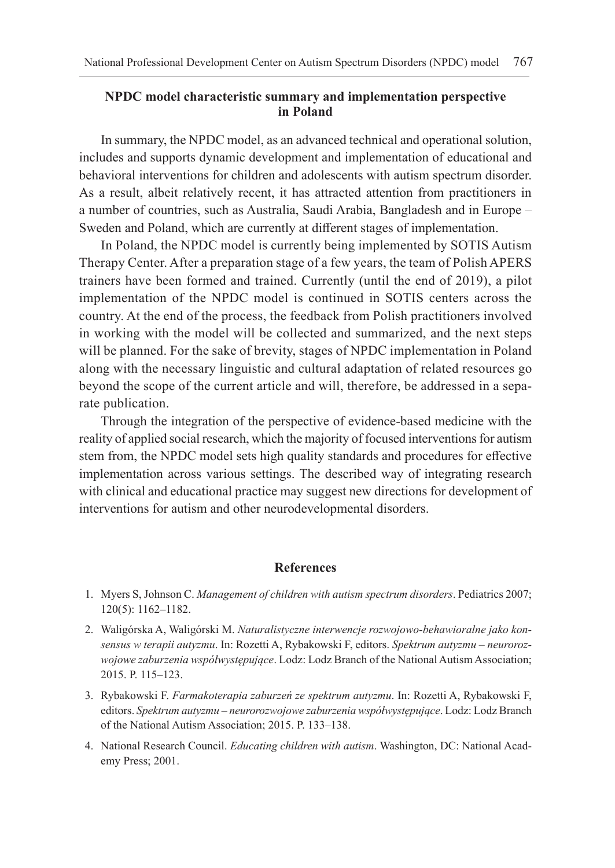### **NPDC model characteristic summary and implementation perspective in Poland**

In summary, the NPDC model, as an advanced technical and operational solution, includes and supports dynamic development and implementation of educational and behavioral interventions for children and adolescents with autism spectrum disorder. As a result, albeit relatively recent, it has attracted attention from practitioners in a number of countries, such as Australia, Saudi Arabia, Bangladesh and in Europe – Sweden and Poland, which are currently at different stages of implementation.

In Poland, the NPDC model is currently being implemented by SOTIS Autism Therapy Center. After a preparation stage of a few years, the team of Polish APERS trainers have been formed and trained. Currently (until the end of 2019), a pilot implementation of the NPDC model is continued in SOTIS centers across the country. At the end of the process, the feedback from Polish practitioners involved in working with the model will be collected and summarized, and the next steps will be planned. For the sake of brevity, stages of NPDC implementation in Poland along with the necessary linguistic and cultural adaptation of related resources go beyond the scope of the current article and will, therefore, be addressed in a separate publication.

Through the integration of the perspective of evidence-based medicine with the reality of applied social research, which the majority of focused interventions for autism stem from, the NPDC model sets high quality standards and procedures for effective implementation across various settings. The described way of integrating research with clinical and educational practice may suggest new directions for development of interventions for autism and other neurodevelopmental disorders.

#### **References**

- 1. Myers S, Johnson C. *Management of children with autism spectrum disorders*. Pediatrics 2007; 120(5): 1162–1182.
- 2. Waligórska A, Waligórski M. *Naturalistyczne interwencje rozwojowo-behawioralne jako konsensus w terapii autyzmu*. In: Rozetti A, Rybakowski F, editors. *Spektrum autyzmu – neurorozwojowe zaburzenia współwystępujące*. Lodz: Lodz Branch of the National Autism Association; 2015. P. 115–123.
- 3. Rybakowski F. *Farmakoterapia zaburzeń ze spektrum autyzmu*. In: Rozetti A, Rybakowski F, editors. *Spektrum autyzmu – neurorozwojowe zaburzenia współwystępujące*. Lodz: Lodz Branch of the National Autism Association; 2015. P. 133–138.
- 4. National Research Council. *Educating children with autism*. Washington, DC: National Academy Press; 2001.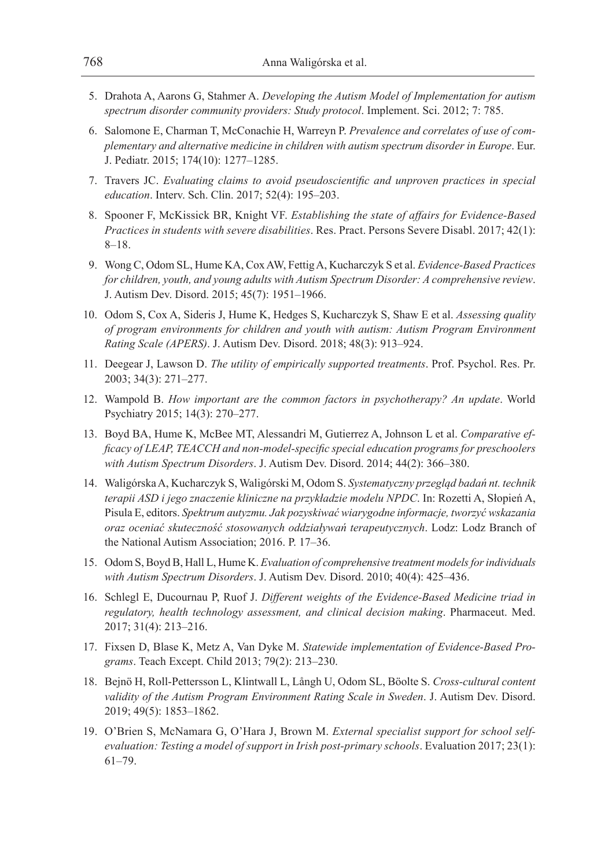- 5. Drahota A, Aarons G, Stahmer A. *Developing the Autism Model of Implementation for autism spectrum disorder community providers: Study protocol*. Implement. Sci. 2012; 7: 785.
- 6. Salomone E, Charman T, McConachie H, Warreyn P. *Prevalence and correlates of use of complementary and alternative medicine in children with autism spectrum disorder in Europe*. Eur. J. Pediatr. 2015; 174(10): 1277–1285.
- 7. Travers JC. *Evaluating claims to avoid pseudoscientific and unproven practices in special education*. Interv. Sch. Clin. 2017; 52(4): 195–203.
- 8. Spooner F, McKissick BR, Knight VF. *Establishing the state of affairs for Evidence-Based Practices in students with severe disabilities*. Res. Pract. Persons Severe Disabl. 2017; 42(1): 8–18.
- 9. Wong C, Odom SL, Hume KA, Cox AW, Fettig A, Kucharczyk S et al. *Evidence-Based Practices for children, youth, and young adults with Autism Spectrum Disorder: A comprehensive review*. J. Autism Dev. Disord. 2015; 45(7): 1951–1966.
- 10. Odom S, Cox A, Sideris J, Hume K, Hedges S, Kucharczyk S, Shaw E et al. *Assessing quality of program environments for children and youth with autism: Autism Program Environment Rating Scale (APERS)*. J. Autism Dev. Disord. 2018; 48(3): 913–924.
- 11. Deegear J, Lawson D. *The utility of empirically supported treatments*. Prof. Psychol. Res. Pr. 2003; 34(3): 271–277.
- 12. Wampold B. *How important are the common factors in psychotherapy? An update*. World Psychiatry 2015; 14(3): 270–277.
- 13. Boyd BA, Hume K, McBee MT, Alessandri M, Gutierrez A, Johnson L et al. *Comparative efficacy of LEAP, TEACCH and non-model-specific special education programs for preschoolers with Autism Spectrum Disorders*. J. Autism Dev. Disord. 2014; 44(2): 366–380.
- 14. Waligórska A, Kucharczyk S, Waligórski M, Odom S. *Systematyczny przegląd badań nt. technik terapii ASD i jego znaczenie kliniczne na przykładzie modelu NPDC*. In: Rozetti A, Słopień A, Pisula E, editors. *Spektrum autyzmu. Jak pozyskiwać wiarygodne informacje, tworzyć wskazania oraz oceniać skuteczność stosowanych oddziaływań terapeutycznych*. Lodz: Lodz Branch of the National Autism Association; 2016. P. 17–36.
- 15. Odom S, Boyd B, Hall L, Hume K. *Evaluation of comprehensive treatment models for individuals with Autism Spectrum Disorders*. J. Autism Dev. Disord. 2010; 40(4): 425–436.
- 16. Schlegl E, Ducournau P, Ruof J. *Different weights of the Evidence-Based Medicine triad in regulatory, health technology assessment, and clinical decision making*. Pharmaceut. Med. 2017; 31(4): 213–216.
- 17. Fixsen D, Blase K, Metz A, Van Dyke M. *Statewide implementation of Evidence-Based Programs*. Teach Except. Child 2013; 79(2): 213–230.
- 18. Bejnö H, Roll-Pettersson L, Klintwall L, Långh U, Odom SL, Böolte S. *Cross-cultural content validity of the Autism Program Environment Rating Scale in Sweden*. J. Autism Dev. Disord. 2019; 49(5): 1853–1862.
- 19. O'Brien S, McNamara G, O'Hara J, Brown M. *External specialist support for school selfevaluation: Testing a model of support in Irish post-primary schools*. Evaluation 2017; 23(1): 61–79.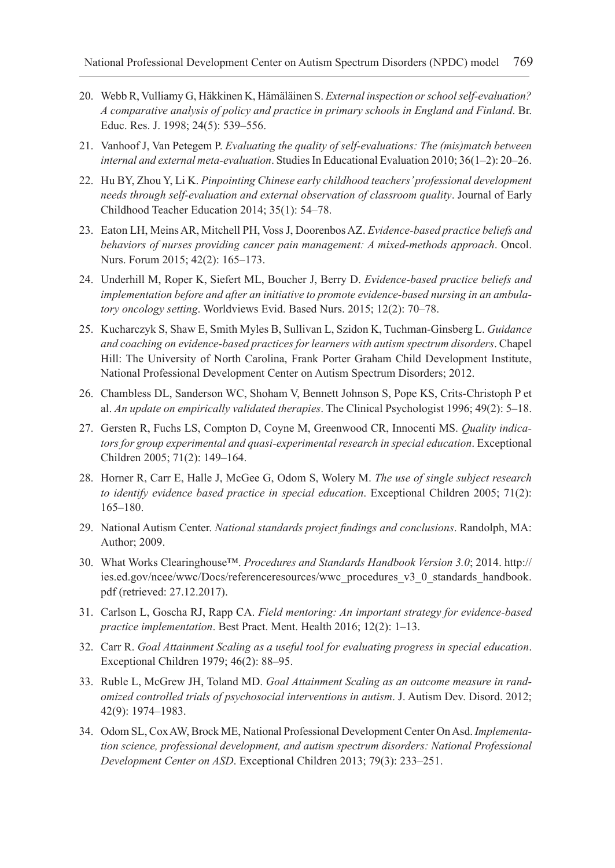- 20. Webb R, Vulliamy G, Häkkinen K, Hämäläinen S. *External inspection or school self-evaluation? A comparative analysis of policy and practice in primary schools in England and Finland*. Br. Educ. Res. J. 1998; 24(5): 539–556.
- 21. Vanhoof J, Van Petegem P. *Evaluating the quality of self-evaluations: The (mis)match between internal and external meta-evaluation*. Studies In Educational Evaluation 2010; 36(1–2): 20–26.
- 22. Hu BY, Zhou Y, Li K. *Pinpointing Chinese early childhood teachers' professional development needs through self-evaluation and external observation of classroom quality*. Journal of Early Childhood Teacher Education 2014; 35(1): 54–78.
- 23. Eaton LH, Meins AR, Mitchell PH, Voss J, Doorenbos AZ. *Evidence-based practice beliefs and behaviors of nurses providing cancer pain management: A mixed-methods approach*. Oncol. Nurs. Forum 2015; 42(2): 165–173.
- 24. Underhill M, Roper K, Siefert ML, Boucher J, Berry D. *Evidence‐based practice beliefs and implementation before and after an initiative to promote evidence‐based nursing in an ambulatory oncology setting*. Worldviews Evid. Based Nurs. 2015; 12(2): 70–78.
- 25. Kucharczyk S, Shaw E, Smith Myles B, Sullivan L, Szidon K, Tuchman-Ginsberg L. *Guidance and coaching on evidence-based practices for learners with autism spectrum disorders*. Chapel Hill: The University of North Carolina, Frank Porter Graham Child Development Institute, National Professional Development Center on Autism Spectrum Disorders; 2012.
- 26. Chambless DL, Sanderson WC, Shoham V, Bennett Johnson S, Pope KS, Crits-Christoph P et al. *An update on empirically validated therapies*. The Clinical Psychologist 1996; 49(2): 5–18.
- 27. Gersten R, Fuchs LS, Compton D, Coyne M, Greenwood CR, Innocenti MS. *Quality indicators for group experimental and quasi-experimental research in special education*. Exceptional Children 2005; 71(2): 149–164.
- 28. Horner R, Carr E, Halle J, McGee G, Odom S, Wolery M. *The use of single subject research to identify evidence based practice in special education*. Exceptional Children 2005; 71(2): 165–180.
- 29. National Autism Center. *National standards project findings and conclusions*. Randolph, MA: Author; 2009.
- 30. What Works Clearinghouse™. *Procedures and Standards Handbook Version 3.0*; 2014. http:// ies.ed.gov/ncee/wwc/Docs/referenceresources/wwc\_procedures\_v3\_0\_standards\_handbook. pdf (retrieved: 27.12.2017).
- 31. Carlson L, Goscha RJ, Rapp CA. *Field mentoring: An important strategy for evidence-based practice implementation*. Best Pract. Ment. Health 2016; 12(2): 1–13.
- 32. Carr R. *Goal Attainment Scaling as a useful tool for evaluating progress in special education*. Exceptional Children 1979; 46(2): 88–95.
- 33. Ruble L, McGrew JH, Toland MD. *Goal Attainment Scaling as an outcome measure in randomized controlled trials of psychosocial interventions in autism*. J. Autism Dev. Disord. 2012; 42(9): 1974–1983.
- 34. Odom SL, Cox AW, Brock ME, National Professional Development Center On Asd. *Implementation science, professional development, and autism spectrum disorders: National Professional Development Center on ASD*. Exceptional Children 2013; 79(3): 233–251.